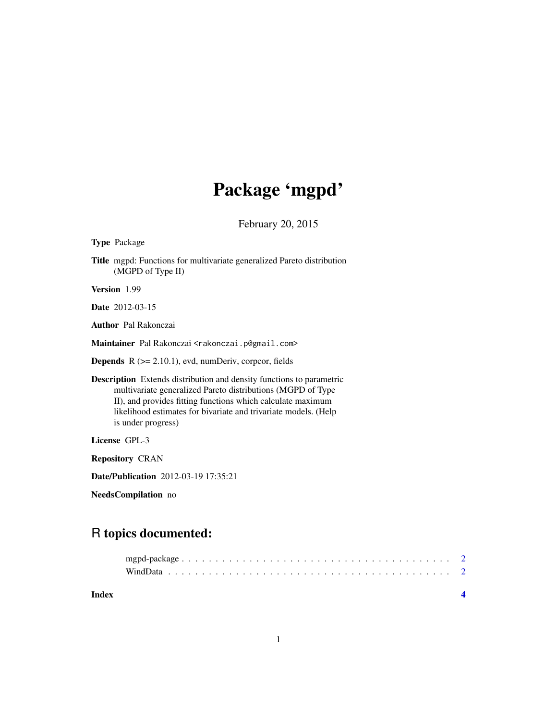## Package 'mgpd'

February 20, 2015

Type Package

Title mgpd: Functions for multivariate generalized Pareto distribution (MGPD of Type II)

Version 1.99

Date 2012-03-15

Author Pal Rakonczai

Maintainer Pal Rakonczai <rakonczai.p@gmail.com>

**Depends**  $R$  ( $>= 2.10.1$ ), evd, numDeriv, corpcor, fields

Description Extends distribution and density functions to parametric multivariate generalized Pareto distributions (MGPD of Type II), and provides fitting functions which calculate maximum likelihood estimates for bivariate and trivariate models. (Help is under progress)

License GPL-3

Repository CRAN

Date/Publication 2012-03-19 17:35:21

NeedsCompilation no

### R topics documented:

**Index** [4](#page-3-0)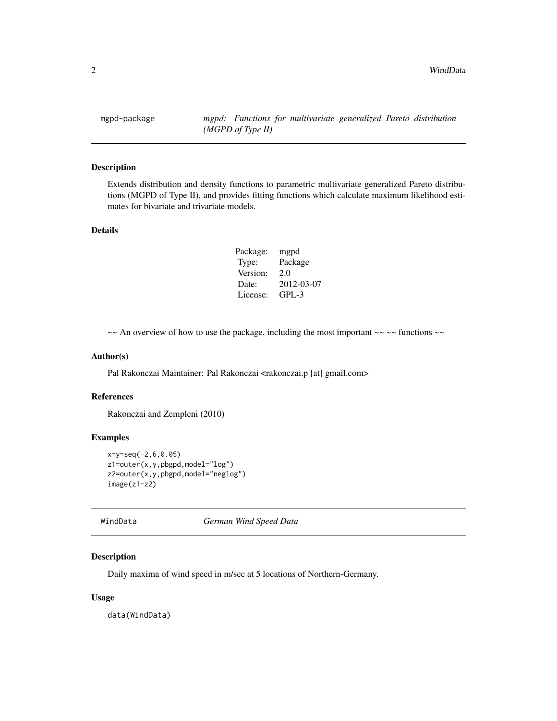<span id="page-1-0"></span>mgpd-package *mgpd: Functions for multivariate generalized Pareto distribution (MGPD of Type II)*

#### Description

Extends distribution and density functions to parametric multivariate generalized Pareto distributions (MGPD of Type II), and provides fitting functions which calculate maximum likelihood estimates for bivariate and trivariate models.

#### Details

| Package: | mgpd       |
|----------|------------|
| Type:    | Package    |
| Version: | 2.0        |
| Date:    | 2012-03-07 |
| License: | $GPL-3$    |

 $\sim$  An overview of how to use the package, including the most important  $\sim$   $\sim$  functions  $\sim$ 

#### Author(s)

Pal Rakonczai Maintainer: Pal Rakonczai <rakonczai.p [at] gmail.com>

#### References

Rakonczai and Zempleni (2010)

#### Examples

```
x=y=seq(-2,6,0.05)
z1=outer(x,y,pbgpd,model="log")
z2=outer(x,y,pbgpd,model="neglog")
image(z1-z2)
```
WindData *German Wind Speed Data*

#### Description

Daily maxima of wind speed in m/sec at 5 locations of Northern-Germany.

#### Usage

data(WindData)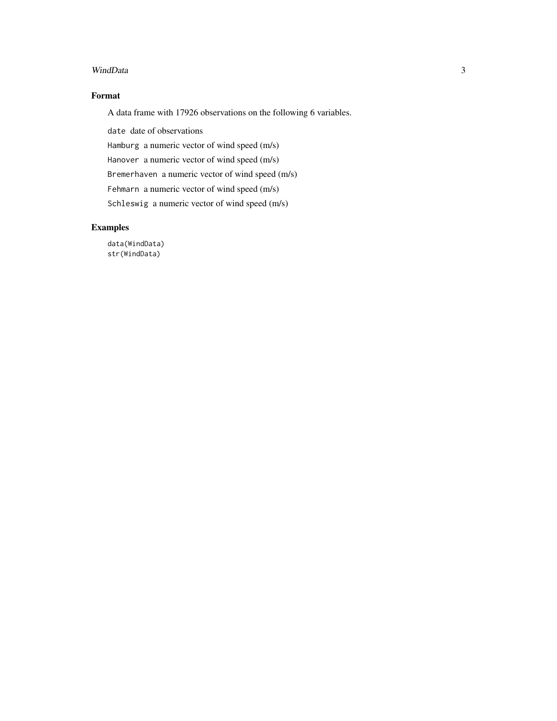#### WindData 3

#### Format

A data frame with 17926 observations on the following 6 variables.

date date of observations

Hamburg a numeric vector of wind speed (m/s)

Hanover a numeric vector of wind speed (m/s)

Bremerhaven a numeric vector of wind speed (m/s)

Fehmarn a numeric vector of wind speed (m/s)

Schleswig a numeric vector of wind speed (m/s)

#### Examples

data(WindData) str(WindData)